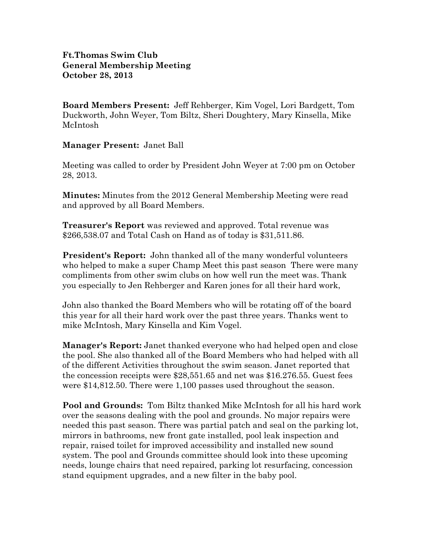## **Ft.Thomas Swim Club General Membership Meeting October 28, 2013**

**Board Members Present:** Jeff Rehberger, Kim Vogel, Lori Bardgett, Tom Duckworth, John Weyer, Tom Biltz, Sheri Doughtery, Mary Kinsella, Mike McIntosh

**Manager Present:** Janet Ball

Meeting was called to order by President John Weyer at 7:00 pm on October 28, 2013.

**Minutes:** Minutes from the 2012 General Membership Meeting were read and approved by all Board Members.

**Treasurer's Report** was reviewed and approved. Total revenue was \$266,538.07 and Total Cash on Hand as of today is \$31,511.86.

**President's Report:** John thanked all of the many wonderful volunteers who helped to make a super Champ Meet this past season There were many compliments from other swim clubs on how well run the meet was. Thank you especially to Jen Rehberger and Karen jones for all their hard work,

John also thanked the Board Members who will be rotating off of the board this year for all their hard work over the past three years. Thanks went to mike McIntosh, Mary Kinsella and Kim Vogel.

**Manager's Report:** Janet thanked everyone who had helped open and close the pool. She also thanked all of the Board Members who had helped with all of the different Activities throughout the swim season. Janet reported that the concession receipts were \$28,551.65 and net was \$16.276.55. Guest fees were \$14,812.50. There were 1,100 passes used throughout the season.

**Pool and Grounds:** Tom Biltz thanked Mike McIntosh for all his hard work over the seasons dealing with the pool and grounds. No major repairs were needed this past season. There was partial patch and seal on the parking lot, mirrors in bathrooms, new front gate installed, pool leak inspection and repair, raised toilet for improved accessibility and installed new sound system. The pool and Grounds committee should look into these upcoming needs, lounge chairs that need repaired, parking lot resurfacing, concession stand equipment upgrades, and a new filter in the baby pool.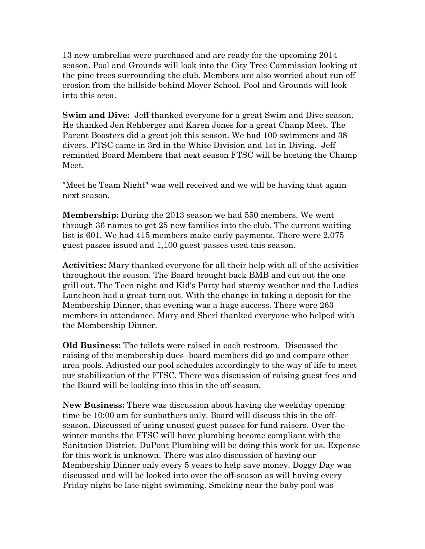13 new umbrellas were purchased and are ready for the upcoming 2014 season. Pool and Grounds will look into the City Tree Commission looking at the pine trees surrounding the club. Members are also worried about run off erosion from the hillside behind Moyer School. Pool and Grounds will look into this area.

**Swim and Dive:** Jeff thanked everyone for a great Swim and Dive season. He thanked Jen Rehberger and Karen Jones for a great Chanp Meet. The Parent Boosters did a great job this season. We had 100 swimmers and 38 divers. FTSC came in 3rd in the White Division and 1st in Diving. Jeff reminded Board Members that next season FTSC will be hosting the Champ Meet.

"Meet he Team Night" was well received and we will be having that again next season.

**Membership:** During the 2013 season we had 550 members. We went through 36 names to get 25 new families into the club. The current waiting list is 601. We had 415 members make early payments. There were 2,075 guest passes issued and 1,100 guest passes used this season.

**Activities:** Mary thanked everyone for all their help with all of the activities throughout the season. The Board brought back BMB and cut out the one grill out. The Teen night and Kid's Party had stormy weather and the Ladies Luncheon had a great turn out. With the change in taking a deposit for the Membership Dinner, that evening was a huge success. There were 263 members in attendance. Mary and Sheri thanked everyone who helped with the Membership Dinner.

**Old Business:** The toilets were raised in each restroom. Discussed the raising of the membership dues -board members did go and compare other area pools. Adjusted our pool schedules accordingly to the way of life to meet our stabilization of the FTSC. There was discussion of raising guest fees and the Board will be looking into this in the off-season.

**New Business:** There was discussion about having the weekday opening time be 10:00 am for sunbathers only. Board will discuss this in the offseason. Discussed of using unused guest passes for fund raisers. Over the winter months the FTSC will have plumbing become compliant with the Sanitation District. DuPont Plumbing will be doing this work for us. Expense for this work is unknown. There was also discussion of having our Membership Dinner only every 5 years to help save money. Doggy Day was discussed and will be looked into over the off-season as will having every Friday night be late night swimming. Smoking near the baby pool was